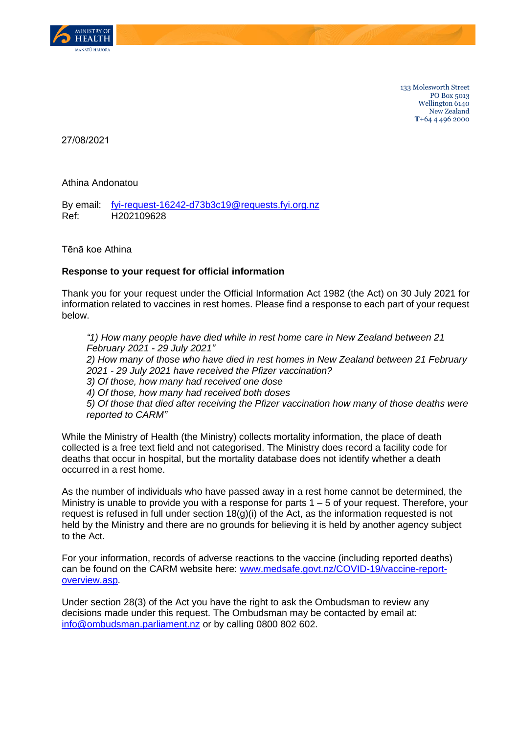

133 Molesworth Street PO Box 5013 Wellington 6140 New Zealand **T**+64 4 496 2000

27/08/2021

Athina Andonatou

By email: [fyi-request-16242-d73b3c19@requests.fyi.org.nz](mailto:xxxxxxxxxxxxxxxxxxxxxxxxxx@xxxxxxxx.xxx.xxx.xx) Ref: H202109628

Tēnā koe Athina

## **Response to your request for official information**

Thank you for your request under the Official Information Act 1982 (the Act) on 30 July 2021 for information related to vaccines in rest homes. Please find a response to each part of your request below.

*"1) How many people have died while in rest home care in New Zealand between 21 February 2021 - 29 July 2021" 2) How many of those who have died in rest homes in New Zealand between 21 February 2021 - 29 July 2021 have received the Pfizer vaccination? 3) Of those, how many had received one dose 4) Of those, how many had received both doses 5) Of those that died after receiving the Pfizer vaccination how many of those deaths were reported to CARM"*

While the Ministry of Health (the Ministry) collects mortality information, the place of death collected is a free text field and not categorised. The Ministry does record a facility code for deaths that occur in hospital, but the mortality database does not identify whether a death occurred in a rest home.

As the number of individuals who have passed away in a rest home cannot be determined, the Ministry is unable to provide you with a response for parts  $1 - 5$  of your request. Therefore, your request is refused in full under section  $18(q)(i)$  of the Act, as the information requested is not held by the Ministry and there are no grounds for believing it is held by another agency subject to the Act.

For your information, records of adverse reactions to the vaccine (including reported deaths) can be found on the CARM website here: [www.medsafe.govt.nz/COVID-19/vaccine-report](http://www.medsafe.govt.nz/COVID-19/vaccine-report-overview.asp)[overview.asp.](http://www.medsafe.govt.nz/COVID-19/vaccine-report-overview.asp)

Under section 28(3) of the Act you have the right to ask the Ombudsman to review any decisions made under this request. The Ombudsman may be contacted by email at: [info@ombudsman.parliament.nz](mailto:xxxx@xxxxxxxxx.xxxxxxxxxx.xx) or by calling 0800 802 602.